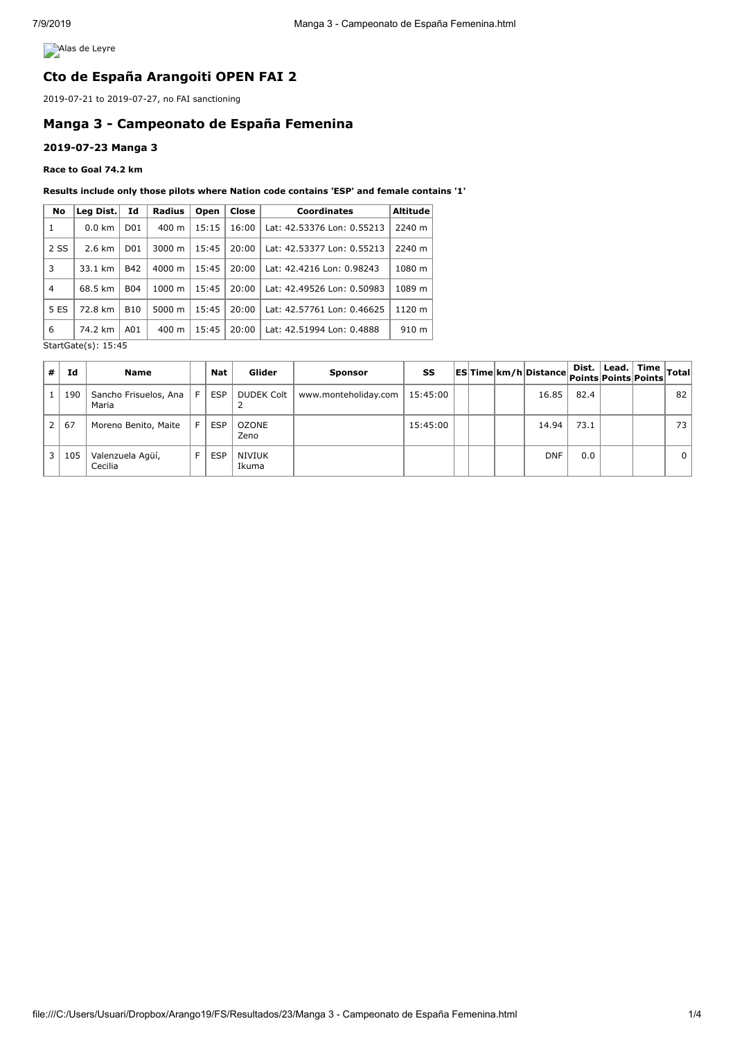**Alas de Leyre** 

## **Cto de España Arangoiti OPEN FAI 2**

2019-07-21 to 2019-07-27, no FAI sanctioning

# **Manga 3 - Campeonato de España Femenina**

### **2019-07-23 Manga 3**

#### **Race to Goal 74.2 km**

#### **Results include only those pilots where Nation code contains 'ESP' and female contains '1'**

| No                         | Leg Dist.             | Id                   | <b>Radius</b>   | Open  | Close | Coordinates                | <b>Altitude</b> |  |
|----------------------------|-----------------------|----------------------|-----------------|-------|-------|----------------------------|-----------------|--|
| 1                          | $0.0 \text{ km}$      | D <sub>01</sub>      | $400 \text{ m}$ | 15:15 | 16:00 | Lat: 42.53376 Lon: 0.55213 | 2240 m          |  |
| 2 SS                       | $2.6 \text{ km}$      | D <sub>01</sub>      | 3000 m          | 15:45 | 20:00 | Lat: 42.53377 Lon: 0.55213 | 2240 m          |  |
| 3                          | <b>B42</b><br>33.1 km |                      | 4000 m          | 15:45 | 20:00 | Lat: 42.4216 Lon: 0.98243  | 1080 m          |  |
| 4                          | 68.5 km               | <b>B04</b>           | 1000 m<br>15:45 |       | 20:00 | Lat: 42.49526 Lon: 0.50983 | 1089 m          |  |
| 5 ES                       | 72.8 km               | 5000 m<br><b>B10</b> |                 | 15:45 | 20:00 | Lat: 42.57761 Lon: 0.46625 | 1120 m          |  |
| 6                          | 74.2 km<br>A01        |                      | $400 \text{ m}$ | 15:45 | 20:00 | Lat: 42.51994 Lon: 0.4888  | 910 m           |  |
| $StartGate(c) \cdot 15.45$ |                       |                      |                 |       |       |                            |                 |  |

StartGate(s): 15:45

| #              | Ιd  | <b>Name</b>                    |      | Nat        | Glider               | <b>Sponsor</b>       | SS       |  | ESTime km/h Distance Dist. Lead. Time Total |      |  |              |
|----------------|-----|--------------------------------|------|------------|----------------------|----------------------|----------|--|---------------------------------------------|------|--|--------------|
|                | 190 | Sancho Frisuelos, Ana<br>Maria | -E 1 | <b>ESP</b> | DUDEK Colt           | www.monteholiday.com | 15:45:00 |  | 16.85                                       | 82.4 |  | 82           |
| 2 <sub>1</sub> | 67  | Moreno Benito, Maite           | F.   | <b>ESP</b> | <b>OZONE</b><br>Zeno |                      | 15:45:00 |  | 14.94                                       | 73.1 |  | 73           |
| $\overline{3}$ | 105 | Valenzuela Agüí,<br>Cecilia    | F    | <b>ESP</b> | NIVIUK<br>Ikuma      |                      |          |  | <b>DNF</b>                                  | 0.0  |  | $\mathbf{0}$ |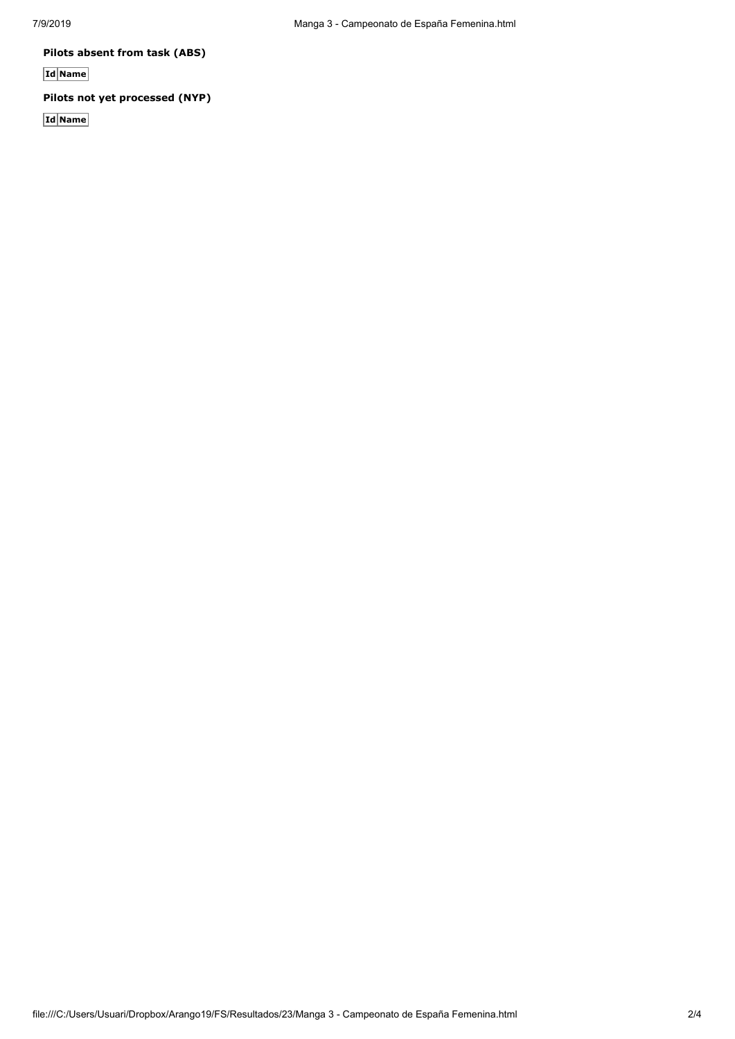**Pilots absent from task (ABS)**

**Id Name**

## **Pilots not yet processed (NYP)**

**Id Name**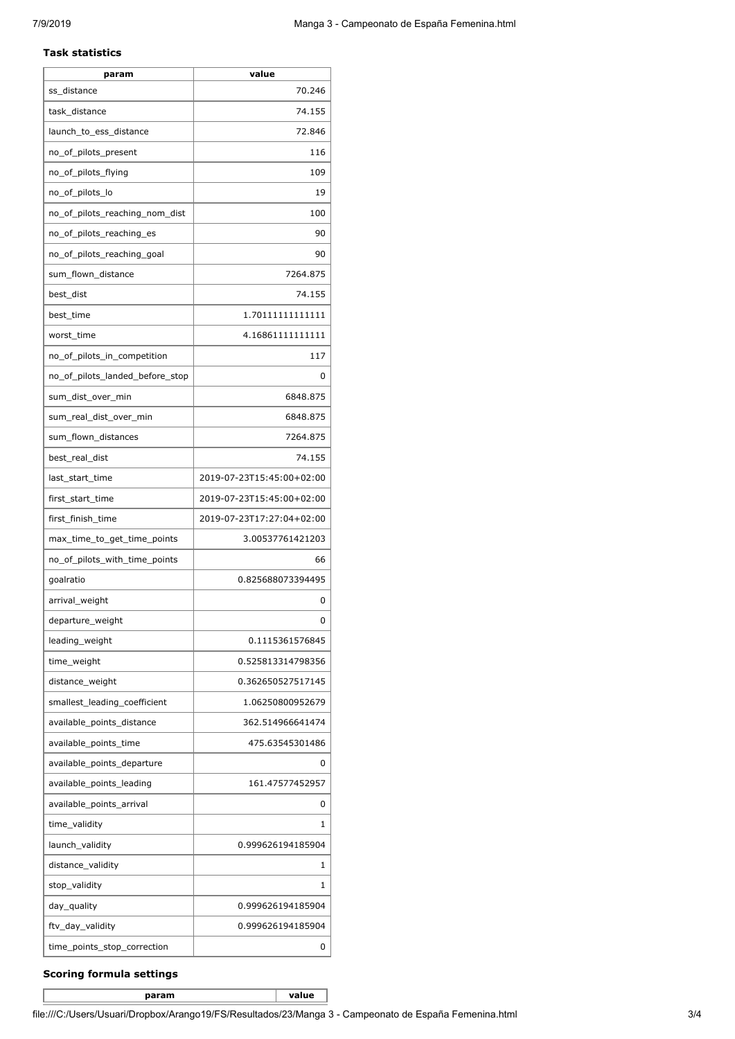#### **Task statistics**

| 70.246<br>ss_distance<br>74.155<br>task distance |
|--------------------------------------------------|
|                                                  |
|                                                  |
| 72.846<br>launch_to_ess_distance                 |
| 116<br>no_of_pilots_present                      |
| no_of_pilots_flying<br>109                       |
| no_of_pilots_lo<br>19                            |
| no_of_pilots_reaching_nom_dist<br>100            |
| no_of_pilots_reaching_es<br>90                   |
| no_of_pilots_reaching_goal<br>90                 |
| 7264.875<br>sum_flown_distance                   |
| best_dist<br>74.155                              |
| best_time<br>1.70111111111111                    |
| worst_time<br>4.16861111111111                   |
| no_of_pilots_in_competition<br>117               |
| no_of_pilots_landed_before_stop                  |
| 6848.875<br>sum_dist_over_min                    |
| 6848.875<br>sum_real_dist_over_min               |
| sum_flown_distances<br>7264.875                  |
| best_real_dist<br>74.155                         |
| last_start_time<br>2019-07-23T15:45:00+02:00     |
| 2019-07-23T15:45:00+02:00<br>first_start_time    |
| first_finish_time<br>2019-07-23T17:27:04+02:00   |
| max_time_to_get_time_points<br>3.00537761421203  |
| no_of_pilots_with_time_points<br>66              |
| 0.825688073394495<br>goalratio                   |
| arrival_weight                                   |
| departure_weight                                 |
| leading_weight<br>0.1115361576845                |
| time_weight<br>0.525813314798356                 |
| distance_weight<br>0.362650527517145             |
| smallest_leading_coefficient<br>1.06250800952679 |
| available_points_distance<br>362.514966641474    |
| available_points_time<br>475.63545301486         |
| available_points_departure                       |
| available_points_leading<br>161.47577452957      |
| available_points_arrival                         |
| time_validity                                    |
| launch_validity<br>0.999626194185904             |
| distance_validity                                |
| stop_validity                                    |
| day_quality<br>0.999626194185904                 |
| ftv_day_validity<br>0.999626194185904            |
| time_points_stop_correction                      |

### **Scoring formula settings**

**param value**